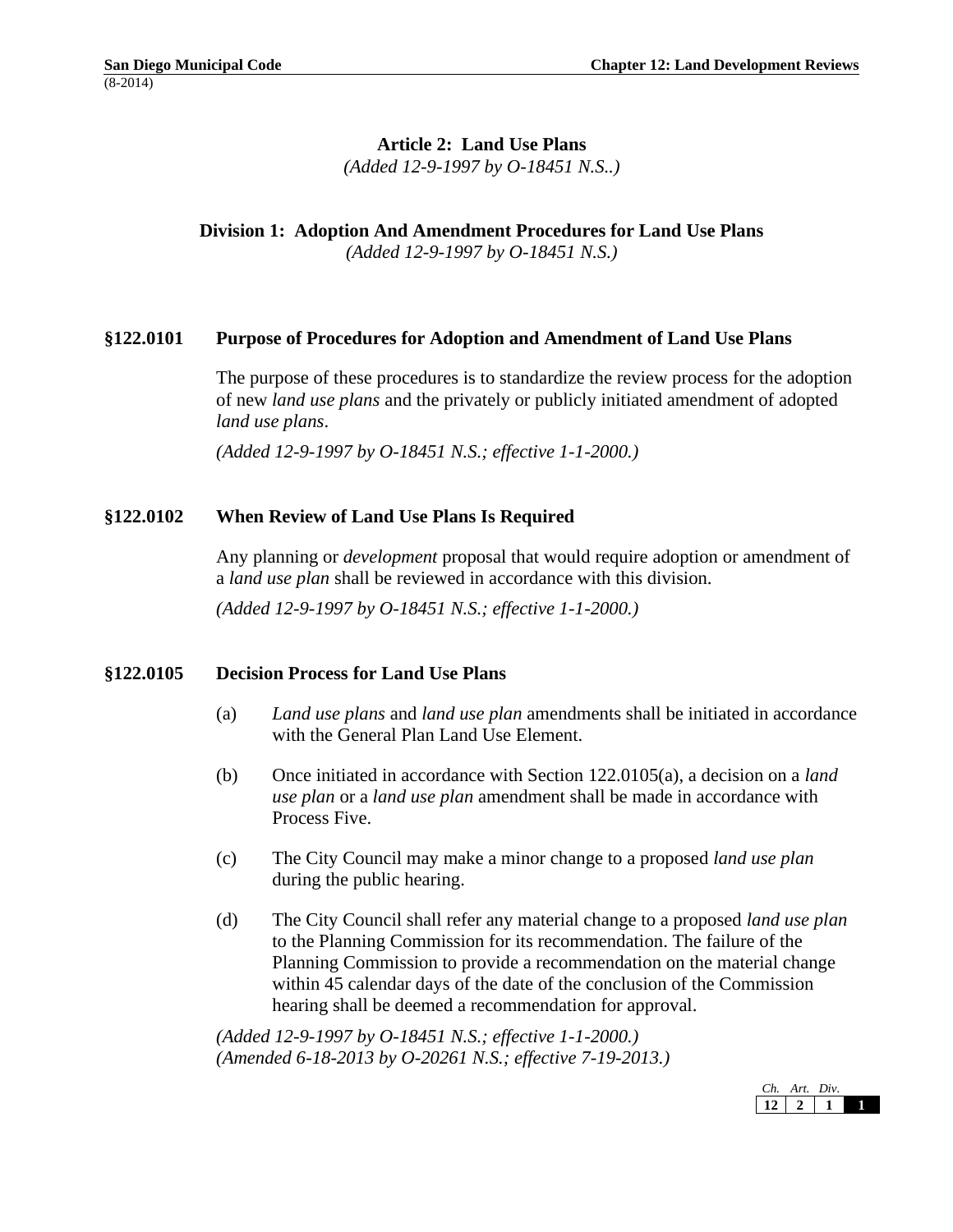# **Article 2: Land Use Plans**

*(Added 12-9-1997 by O-18451 N.S..)*

**Division 1: Adoption And Amendment Procedures for Land Use Plans** *(Added 12-9-1997 by O-18451 N.S.)*

# **§122.0101 Purpose of Procedures for Adoption and Amendment of Land Use Plans**

The purpose of these procedures is to standardize the review process for the adoption of new *land use plans* and the privately or publicly initiated amendment of adopted *land use plans*.

*(Added 12-9-1997 by O-18451 N.S.; effective 1-1-2000.)*

### **§122.0102 When Review of Land Use Plans Is Required**

Any planning or *development* proposal that would require adoption or amendment of a *land use plan* shall be reviewed in accordance with this division.

*(Added 12-9-1997 by O-18451 N.S.; effective 1-1-2000.)*

#### **§122.0105 Decision Process for Land Use Plans**

- (a) *Land use plans* and *land use plan* amendments shall be initiated in accordance with the General Plan Land Use Element.
- (b) Once initiated in accordance with Section 122.0105(a), a decision on a *land use plan* or a *land use plan* amendment shall be made in accordance with Process Five.
- (c) The City Council may make a minor change to a proposed *land use plan*  during the public hearing.
- (d) The City Council shall refer any material change to a proposed *land use plan* to the Planning Commission for its recommendation. The failure of the Planning Commission to provide a recommendation on the material change within 45 calendar days of the date of the conclusion of the Commission hearing shall be deemed a recommendation for approval.

*(Added 12-9-1997 by O-18451 N.S.; effective 1-1-2000.) (Amended 6-18-2013 by O-20261 N.S.; effective 7-19-2013.)*

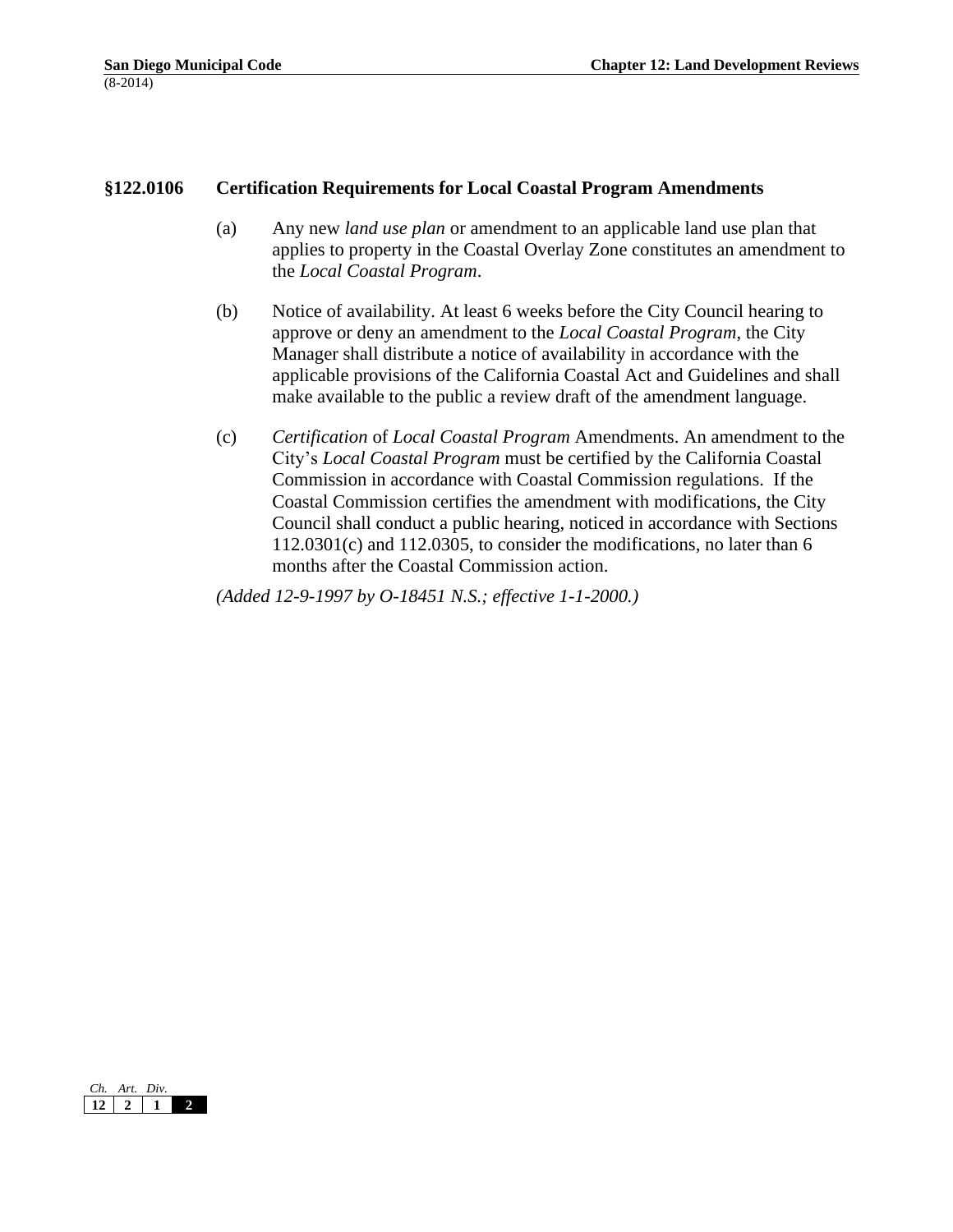### **§122.0106 Certification Requirements for Local Coastal Program Amendments**

- (a) Any new *land use plan* or amendment to an applicable land use plan that applies to property in the Coastal Overlay Zone constitutes an amendment to the *Local Coastal Program*.
- (b) Notice of availability. At least 6 weeks before the City Council hearing to approve or deny an amendment to the *Local Coastal Program*, the City Manager shall distribute a notice of availability in accordance with the applicable provisions of the California Coastal Act and Guidelines and shall make available to the public a review draft of the amendment language.
- (c) *Certification* of *Local Coastal Program* Amendments. An amendment to the City's *Local Coastal Program* must be certified by the California Coastal Commission in accordance with Coastal Commission regulations. If the Coastal Commission certifies the amendment with modifications, the City Council shall conduct a public hearing, noticed in accordance with Sections 112.0301(c) and 112.0305, to consider the modifications, no later than 6 months after the Coastal Commission action.

*(Added 12-9-1997 by O-18451 N.S.; effective 1-1-2000.)*